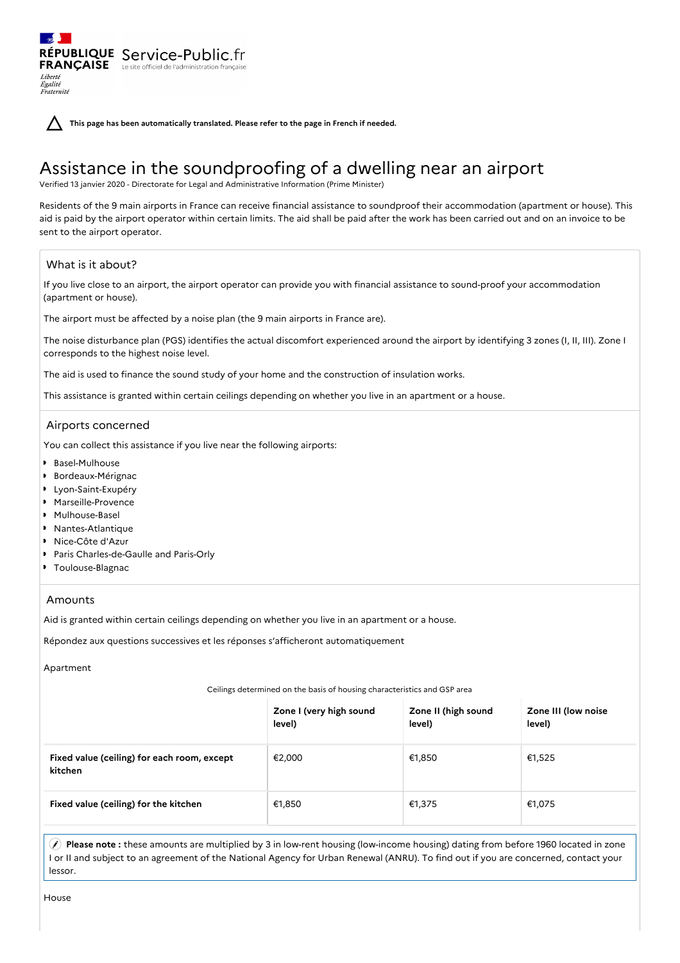**This page has been automatically translated. Please refer to the page in French if needed.**

# Assistance in the soundproofing of a dwelling near an airport

Verified 13 janvier 2020 - Directorate for Legal and Administrative Information (Prime Minister)

Residents of the 9 main airports in France can receive financial assistance to soundproof their accommodation (apartment or house). This aid is paid by the airport operator within certain limits. The aid shall be paid after the work has been carried out and on an invoice to be sent to the airport operator.

# What is it about?

Liberté Égalité<br>Fraternité

RÉPUBLIQUE Service-Public.fr **FRANÇAISE** Le site officiel de l'administration fran

If you live close to an airport, the airport operator can provide you with financial assistance to sound-proof your accommodation (apartment or house).

The airport must be affected by a noise plan (the 9 main airports in France are).

The noise disturbance plan (PGS) identifies the actual discomfort experienced around the airport by identifying 3 zones (I, II, III). Zone I corresponds to the highest noise level.

The aid is used to finance the sound study of your home and the construction of insulation works.

This assistance is granted within certain ceilings depending on whether you live in an apartment or a house.

# Airports concerned

You can collect this assistance if you live near the following airports:

- Basel-Mulhouse
- Bordeaux-Mérignac
- Lyon-Saint-Exupéry
- Marseille-Provence
- Mulhouse-Basel
- Nantes-Atlantique
- Nice-Côte d'Azur
- Paris Charles-de-Gaulle and Paris-Orly
- Toulouse-Blagnac

### Amounts

Aid is granted within certain ceilings depending on whether you live in an apartment or a house.

Répondez aux questions successives et les réponses s'afficheront automatiquement

Apartment

### Ceilings determined on the basis of housing characteristics and GSP area

|                                                        | Zone I (very high sound<br>level) | Zone II (high sound<br>level) | Zone III (low noise<br>level) |
|--------------------------------------------------------|-----------------------------------|-------------------------------|-------------------------------|
| Fixed value (ceiling) for each room, except<br>kitchen | €2,000                            | €1,850                        | €1,525                        |
| Fixed value (ceiling) for the kitchen                  | €1,850                            | €1,375                        | €1,075                        |

 **Please note :** these amounts are multiplied by 3 in low-rent housing (low-income housing) dating from before 1960 located in zone I or II and subject to an agreement of the National Agency for Urban Renewal (ANRU). To find out if you are concerned, contact your lessor.

House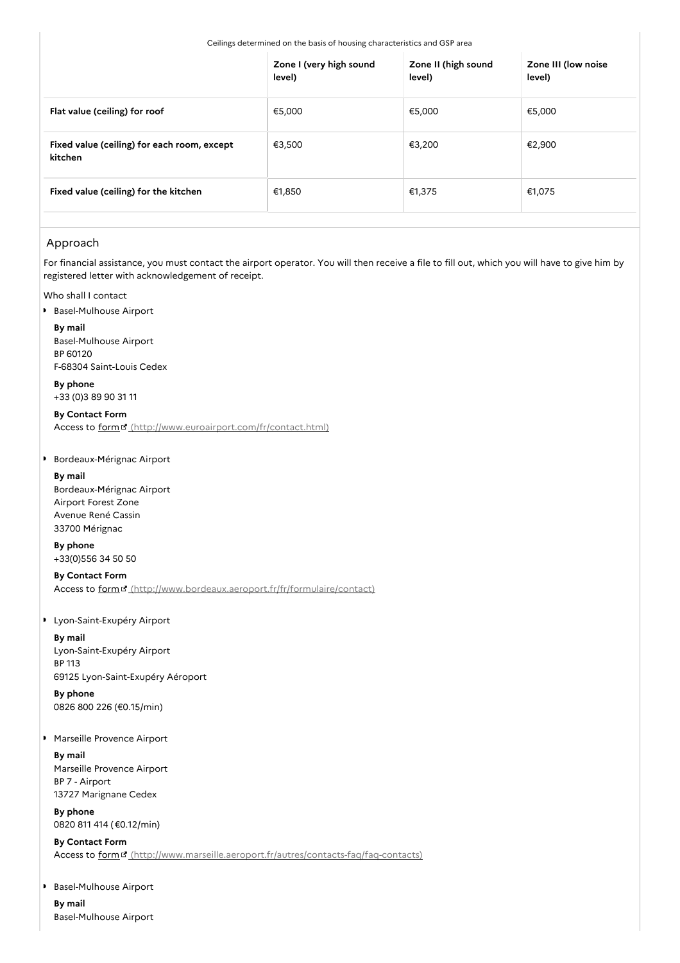|                                                        | Zone I (very high sound<br>level) | Zone II (high sound<br>level) | Zone III (low noise<br>level) |
|--------------------------------------------------------|-----------------------------------|-------------------------------|-------------------------------|
| Flat value (ceiling) for roof                          | €5,000                            | €5,000                        | €5,000                        |
| Fixed value (ceiling) for each room, except<br>kitchen | €3,500                            | €3,200                        | €2,900                        |
| Fixed value (ceiling) for the kitchen                  | €1,850                            | €1,375                        | €1,075                        |

# Approach

For financial assistance, you must contact the airport operator. You will then receive a file to fill out, which you will have to give him by registered letter with acknowledgement of receipt.

Who shall I contact

**Basel-Mulhouse Airport** 

**By mail** Basel-Mulhouse Airport BP 60120 F-68304 Saint-Louis Cedex

**By phone** +33 (0)3 89 90 31 11

**By Contact Form**

Access to form  $\sigma$  [\(http://www.euroairport.com/fr/contact.html\)](http://www.euroairport.com/fr/contact.html)

### **Bordeaux-Mérignac Airport**

**By mail**

Bordeaux-Mérignac Airport Airport Forest Zone Avenue René Cassin 33700 Mérignac

**By phone** +33(0)556 34 50 50

# **By Contact Form**

Access to form<sup>e</sup> [\(http://www.bordeaux.aeroport.fr/fr/formulaire/contact\)](http://www.bordeaux.aeroport.fr/fr/formulaire/contact)

### Lyon-Saint-Exupéry Airport

**By mail** Lyon-Saint-Exupéry Airport BP 113 69125 Lyon-Saint-Exupéry Aéroport

**By phone** 0826 800 226 (€0.15/min)

### Marseille Provence Airport

**By mail** Marseille Provence Airport BP 7 - Airport 13727 Marignane Cedex

**By phone** 0820 811 414 (€0.12/min)

**By Contact Form** Access to form<sup>E</sup> [\(http://www.marseille.aeroport.fr/autres/contacts-faq/faq-contacts\)](http://www.marseille.aeroport.fr/autres/contacts-faq/faq-contacts)

Basel-Mulhouse Airport  $\bullet$ **By mail**

Basel-Mulhouse Airport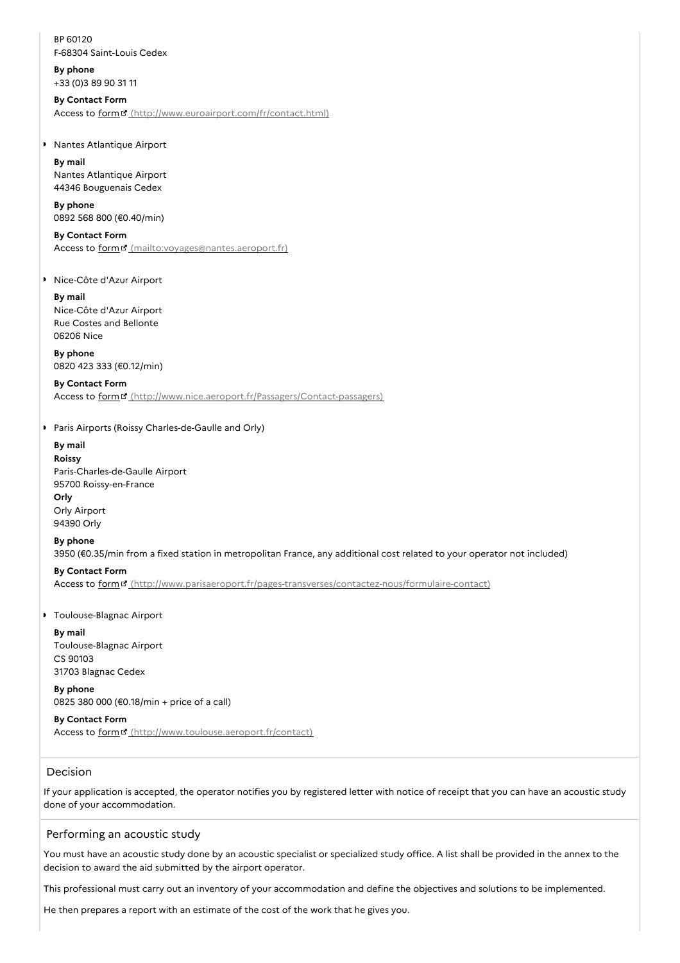BP 60120 F-68304 Saint-Louis Cedex

**By phone** +33 (0)3 89 90 31 11

### **By Contact Form**

Access to form [\(http://www.euroairport.com/fr/contact.html\)](http://www.euroairport.com/fr/contact.html)

### **Nantes Atlantique Airport**

**By mail** Nantes Atlantique Airport 44346 Bouguenais Cedex

### **By phone** 0892 568 800 (€0.40/min)

**By Contact Form** Access to form<sup>e</sup> [\(mailto:voyages@nantes.aeroport.fr\)](mailto:voyages@nantes.aeroport.fr)

Nice-Côte d'Azur Airport

#### **By mail**

Nice-Côte d'Azur Airport Rue Costes and Bellonte 06206 Nice

**By phone** 0820 423 333 (€0.12/min)

### **By Contact Form** Access to form " [\(http://www.nice.aeroport.fr/Passagers/Contact-passagers\)](http://www.nice.aeroport.fr/Passagers/Contact-passagers)

**Paris Airports (Roissy Charles-de-Gaulle and Orly)** 

# **By mail**

**Roissy** Paris-Charles-de-Gaulle Airport 95700 Roissy-en-France **Orly** Orly Airport 94390 Orly

### **By phone**

3950 (€0.35/min from a fixed station in metropolitan France, any additional cost related to your operator not included)

### **By Contact Form**

Access to form [\(http://www.parisaeroport.fr/pages-transverses/contactez-nous/formulaire-contact\)](http://www.parisaeroport.fr/pages-transverses/contactez-nous/formulaire-contact)

### **Toulouse-Blagnac Airport**

**By mail** Toulouse-Blagnac Airport CS 90103 31703 Blagnac Cedex

**By phone** 0825 380 000 (€0.18/min + price of a call)

# **By Contact Form**

Access to form<sup>"</sup> [\(http://www.toulouse.aeroport.fr/contact\)](http://www.toulouse.aeroport.fr/contact)

# Decision

If your application is accepted, the operator notifies you by registered letter with notice of receipt that you can have an acoustic study done of your accommodation.

## Performing an acoustic study

You must have an acoustic study done by an acoustic specialist or specialized study office. A list shall be provided in the annex to the decision to award the aid submitted by the airport operator.

This professional must carry out an inventory of your accommodation and define the objectives and solutions to be implemented.

He then prepares a report with an estimate of the cost of the work that he gives you.